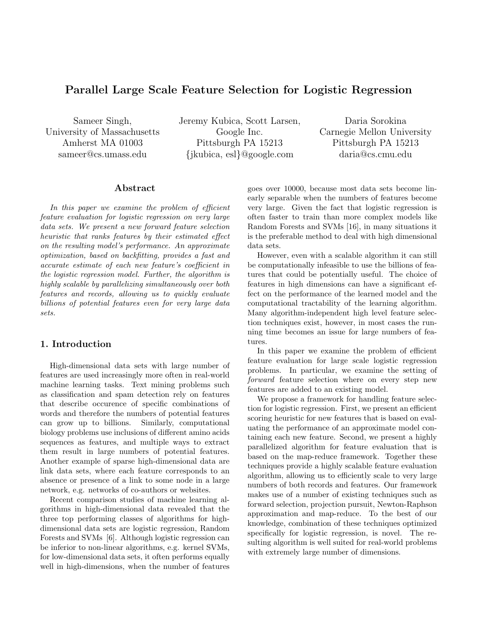# Parallel Large Scale Feature Selection for Logistic Regression

Sameer Singh, University of Massachusetts Amherst MA 01003 sameer@cs.umass.edu

Jeremy Kubica, Scott Larsen, Google Inc. Pittsburgh PA 15213 {jkubica, esl}@google.com

Daria Sorokina Carnegie Mellon University Pittsburgh PA 15213 daria@cs.cmu.edu

### Abstract

In this paper we examine the problem of efficient feature evaluation for logistic regression on very large data sets. We present a new forward feature selection heuristic that ranks features by their estimated effect on the resulting model's performance. An approximate optimization, based on backfitting, provides a fast and accurate estimate of each new feature's coefficient in the logistic regression model. Further, the algorithm is highly scalable by parallelizing simultaneously over both features and records, allowing us to quickly evaluate billions of potential features even for very large data sets.

# 1. Introduction

High-dimensional data sets with large number of features are used increasingly more often in real-world machine learning tasks. Text mining problems such as classification and spam detection rely on features that describe occurence of specific combinations of words and therefore the numbers of potential features can grow up to billions. Similarly, computational biology problems use inclusions of different amino acids sequences as features, and multiple ways to extract them result in large numbers of potential features. Another example of sparse high-dimensional data are link data sets, where each feature corresponds to an absence or presence of a link to some node in a large network, e.g. networks of co-authors or websites.

Recent comparison studies of machine learning algorithms in high-dimensional data revealed that the three top performing classes of algorithms for highdimensional data sets are logistic regression, Random Forests and SVMs [6]. Although logistic regression can be inferior to non-linear algorithms, e.g. kernel SVMs, for low-dimensional data sets, it often performs equally well in high-dimensions, when the number of features goes over 10000, because most data sets become linearly separable when the numbers of features become very large. Given the fact that logistic regression is often faster to train than more complex models like Random Forests and SVMs [16], in many situations it is the preferable method to deal with high dimensional data sets.

However, even with a scalable algorithm it can still be computationally infeasible to use the billions of features that could be potentially useful. The choice of features in high dimensions can have a significant effect on the performance of the learned model and the computational tractability of the learning algorithm. Many algorithm-independent high level feature selection techniques exist, however, in most cases the running time becomes an issue for large numbers of features.

In this paper we examine the problem of efficient feature evaluation for large scale logistic regression problems. In particular, we examine the setting of forward feature selection where on every step new features are added to an existing model.

We propose a framework for handling feature selection for logistic regression. First, we present an efficient scoring heuristic for new features that is based on evaluating the performance of an approximate model containing each new feature. Second, we present a highly parallelized algorithm for feature evaluation that is based on the map-reduce framework. Together these techniques provide a highly scalable feature evaluation algorithm, allowing us to efficiently scale to very large numbers of both records and features. Our framework makes use of a number of existing techniques such as forward selection, projection pursuit, Newton-Raphson approximation and map-reduce. To the best of our knowledge, combination of these techniques optimized specifically for logistic regression, is novel. The resulting algorithm is well suited for real-world problems with extremely large number of dimensions.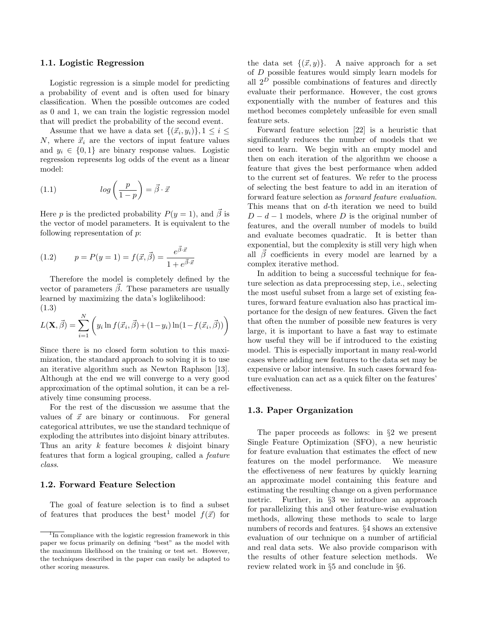#### 1.1. Logistic Regression

Logistic regression is a simple model for predicting a probability of event and is often used for binary classification. When the possible outcomes are coded as 0 and 1, we can train the logistic regression model that will predict the probability of the second event.

Assume that we have a data set  $\{(\vec{x}_i, y_i)\}, 1 \leq i \leq$ N, where  $\vec{x}_i$  are the vectors of input feature values and  $y_i \in \{0, 1\}$  are binary response values. Logistic regression represents log odds of the event as a linear model:

(1.1) 
$$
log\left(\frac{p}{1-p}\right) = \vec{\beta} \cdot \vec{x}
$$

Here p is the predicted probability  $P(y = 1)$ , and  $\vec{\beta}$  is the vector of model parameters. It is equivalent to the following representation of p:

(1.2) 
$$
p = P(y = 1) = f(\vec{x}, \vec{\beta}) = \frac{e^{\vec{\beta} \cdot \vec{x}}}{1 + e^{\vec{\beta} \cdot \vec{x}}}
$$

Therefore the model is completely defined by the vector of parameters  $\vec{\beta}$ . These parameters are usually learned by maximizing the data's loglikelihood: (1.3)

$$
L(\mathbf{X}, \vec{\beta}) = \sum_{i=1}^{N} \left( y_i \ln f(\vec{x}_i, \vec{\beta}) + (1 - y_i) \ln(1 - f(\vec{x}_i, \vec{\beta})) \right)
$$

Since there is no closed form solution to this maximization, the standard approach to solving it is to use an iterative algorithm such as Newton Raphson [13]. Although at the end we will converge to a very good approximation of the optimal solution, it can be a relatively time consuming process.

For the rest of the discussion we assume that the values of  $\vec{x}$  are binary or continuous. For general categorical attributes, we use the standard technique of exploding the attributes into disjoint binary attributes. Thus an arity  $k$  feature becomes  $k$  disjoint binary features that form a logical grouping, called a feature class.

# 1.2. Forward Feature Selection

The goal of feature selection is to find a subset of features that produces the best<sup>1</sup> model  $f(\vec{x})$  for

the data set  $\{(\vec{x}, y)\}\$ . A naive approach for a set of D possible features would simply learn models for all  $2^D$  possible combinations of features and directly evaluate their performance. However, the cost grows exponentially with the number of features and this method becomes completely unfeasible for even small feature sets.

Forward feature selection [22] is a heuristic that significantly reduces the number of models that we need to learn. We begin with an empty model and then on each iteration of the algorithm we choose a feature that gives the best performance when added to the current set of features. We refer to the process of selecting the best feature to add in an iteration of forward feature selection as forward feature evaluation. This means that on d-th iteration we need to build  $D - d - 1$  models, where D is the original number of features, and the overall number of models to build and evaluate becomes quadratic. It is better than exponential, but the complexity is still very high when all  $\beta$  coefficients in every model are learned by a complex iterative method.

In addition to being a successful technique for feature selection as data preprocessing step, i.e., selecting the most useful subset from a large set of existing features, forward feature evaluation also has practical importance for the design of new features. Given the fact that often the number of possible new features is very large, it is important to have a fast way to estimate how useful they will be if introduced to the existing model. This is especially important in many real-world cases where adding new features to the data set may be expensive or labor intensive. In such cases forward feature evaluation can act as a quick filter on the features' effectiveness.

### 1.3. Paper Organization

The paper proceeds as follows: in §2 we present Single Feature Optimization (SFO), a new heuristic for feature evaluation that estimates the effect of new features on the model performance. We measure the effectiveness of new features by quickly learning an approximate model containing this feature and estimating the resulting change on a given performance metric. Further, in §3 we introduce an approach for parallelizing this and other feature-wise evaluation methods, allowing these methods to scale to large numbers of records and features. §4 shows an extensive evaluation of our technique on a number of artificial and real data sets. We also provide comparison with the results of other feature selection methods. We review related work in §5 and conclude in §6.

 $\overline{1_{\text{In}}\text{ compliance}}$  with the logistic regression framework in this paper we focus primarily on defining "best" as the model with the maximum likelihood on the training or test set. However, the techniques described in the paper can easily be adapted to other scoring measures.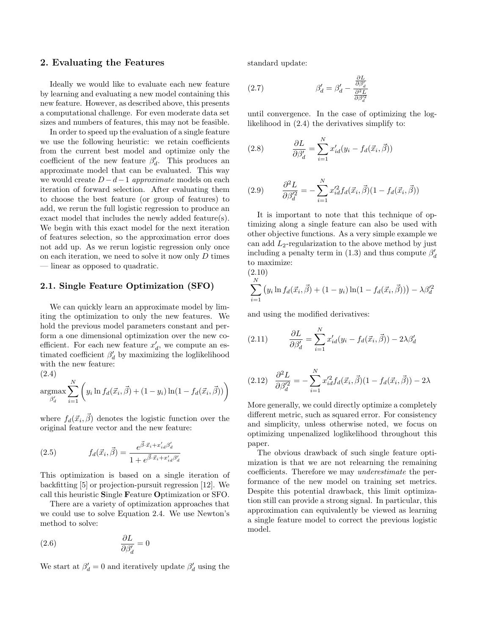### 2. Evaluating the Features

Ideally we would like to evaluate each new feature by learning and evaluating a new model containing this new feature. However, as described above, this presents a computational challenge. For even moderate data set sizes and numbers of features, this may not be feasible.

In order to speed up the evaluation of a single feature we use the following heuristic: we retain coefficients from the current best model and optimize only the coefficient of the new feature  $\beta'_d$ . This produces an approximate model that can be evaluated. This way we would create  $D - d - 1$  approximate models on each iteration of forward selection. After evaluating them to choose the best feature (or group of features) to add, we rerun the full logistic regression to produce an exact model that includes the newly added feature(s). We begin with this exact model for the next iteration of features selection, so the approximation error does not add up. As we rerun logistic regression only once on each iteration, we need to solve it now only  $D$  times — linear as opposed to quadratic.

### 2.1. Single Feature Optimization (SFO)

We can quickly learn an approximate model by limiting the optimization to only the new features. We hold the previous model parameters constant and perform a one dimensional optimization over the new coefficient. For each new feature  $x'_d$ , we compute an estimated coefficient  $\beta'_d$  by maximizing the loglikelihood with the new feature:

$$
(2.4)
$$

$$
\underset{\beta'_d}{\operatorname{argmax}} \sum_{i=1}^{N} \left( y_i \ln f_d(\vec{x}_i, \vec{\beta}) + (1 - y_i) \ln(1 - f_d(\vec{x}_i, \vec{\beta})) \right)
$$

where  $f_d(\vec{x}_i, \vec{\beta})$  denotes the logistic function over the original feature vector and the new feature:

(2.5) 
$$
f_d(\vec{x}_i, \vec{\beta}) = \frac{e^{\vec{\beta} \cdot \vec{x}_i + x'_{id}\beta'_d}}{1 + e^{\vec{\beta} \cdot \vec{x}_i + x'_{id}\beta'_d}}
$$

This optimization is based on a single iteration of backfitting [5] or projection-pursuit regression [12]. We call this heuristic Single Feature Optimization or SFO.

There are a variety of optimization approaches that we could use to solve Equation 2.4. We use Newton's method to solve:

(2.6) 
$$
\frac{\partial L}{\partial \beta'_d} = 0
$$

We start at  $\beta'_d = 0$  and iteratively update  $\beta'_d$  using the

standard update:

(2.7) 
$$
\beta'_d = \beta'_d - \frac{\frac{\partial L}{\partial \beta'_d}}{\frac{\partial^2 L}{\partial \beta'^2_d}}
$$

until convergence. In the case of optimizing the loglikelihood in (2.4) the derivatives simplify to:

(2.8) 
$$
\frac{\partial L}{\partial \beta'_d} = \sum_{i=1}^N x'_{id}(y_i - f_d(\vec{x}_i, \vec{\beta}))
$$

(2.9) 
$$
\frac{\partial^2 L}{\partial \beta_d^2} = -\sum_{i=1}^N x_{id}^{\prime 2} f_d(\vec{x}_i, \vec{\beta}) (1 - f_d(\vec{x}_i, \vec{\beta}))
$$

It is important to note that this technique of optimizing along a single feature can also be used with other objective functions. As a very simple example we can add  $L_2$ -regularization to the above method by just including a penalty term in (1.3) and thus compute  $\beta'_d$ to maximize:

 $-\lambda \beta_d^{\prime 2}$ 

$$
\sum_{i=1}^{N} (y_i \ln f_d(\vec{x}_i, \vec{\beta}) + (1 - y_i) \ln(1 - f_d(\vec{x}_i, \vec{\beta})))
$$

and using the modified derivatives:

(2.11) 
$$
\frac{\partial L}{\partial \beta'_d} = \sum_{i=1}^N x'_{id}(y_i - f_d(\vec{x}_i, \vec{\beta})) - 2\lambda \beta'_d
$$

$$
(2.12) \quad \frac{\partial^2 L}{\partial \beta_d^2} = -\sum_{i=1}^N x_{id}^{\prime 2} f_d(\vec{x}_i, \vec{\beta})(1 - f_d(\vec{x}_i, \vec{\beta})) - 2\lambda
$$

More generally, we could directly optimize a completely different metric, such as squared error. For consistency and simplicity, unless otherwise noted, we focus on optimizing unpenalized loglikelihood throughout this paper.

The obvious drawback of such single feature optimization is that we are not relearning the remaining coefficients. Therefore we may underestimate the performance of the new model on training set metrics. Despite this potential drawback, this limit optimization still can provide a strong signal. In particular, this approximation can equivalently be viewed as learning a single feature model to correct the previous logistic model.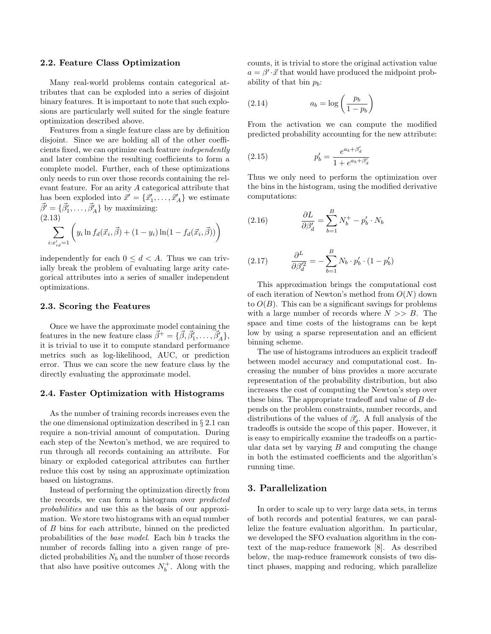#### 2.2. Feature Class Optimization

Many real-world problems contain categorical attributes that can be exploded into a series of disjoint binary features. It is important to note that such explosions are particularly well suited for the single feature optimization described above.

Features from a single feature class are by definition disjoint. Since we are holding all of the other coefficients fixed, we can optimize each feature independently and later combine the resulting coefficients to form a complete model. Further, each of these optimizations only needs to run over those records containing the relevant feature. For an arity A categorical attribute that has been exploded into  $\vec{x}' = {\vec{x}'_1, \dots, \vec{x}'_A}$  we estimate  $\vec{\beta}' = {\vec{\beta}'_1, \ldots, \vec{\beta}'_A}$  by maximizing: (2.13)

$$
\sum_{i:x'_{id}=1} \left( y_i \ln f_d(\vec{x}_i, \vec{\beta}) + (1 - y_i) \ln(1 - f_d(\vec{x}_i, \vec{\beta})) \right)
$$

independently for each  $0 \leq d < A$ . Thus we can trivially break the problem of evaluating large arity categorical attributes into a series of smaller independent optimizations.

#### 2.3. Scoring the Features

Once we have the approximate model containing the features in the new feature class  $\vec{\beta}^+ = {\{\vec{\beta}, \vec{\beta}'_1, \dots, \vec{\beta}'_A\}}$ , it is trivial to use it to compute standard performance metrics such as log-likelihood, AUC, or prediction error. Thus we can score the new feature class by the directly evaluating the approximate model.

#### 2.4. Faster Optimization with Histograms

As the number of training records increases even the the one dimensional optimization described in § 2.1 can require a non-trivial amount of computation. During each step of the Newton's method, we are required to run through all records containing an attribute. For binary or exploded categorical attributes can further reduce this cost by using an approximate optimization based on histograms.

Instead of performing the optimization directly from the records, we can form a histogram over predicted probabilities and use this as the basis of our approximation. We store two histograms with an equal number of B bins for each attribute, binned on the predicted probabilities of the base model. Each bin b tracks the number of records falling into a given range of predicted probabilities  $N_b$  and the number of those records that also have positive outcomes  $N_b^+$ . Along with the

counts, it is trivial to store the original activation value  $a = \beta' \cdot \vec{x}$  that would have produced the midpoint probability of that bin  $p_b$ :

$$
(2.14) \t\t a_b = \log\left(\frac{p_b}{1 - p_b}\right)
$$

From the activation we can compute the modified predicted probability accounting for the new attribute:

(2.15) 
$$
p'_b = \frac{e^{a_b + \beta'_d}}{1 + e^{a_b + \beta'_d}}
$$

Thus we only need to perform the optimization over the bins in the histogram, using the modified derivative computations:

(2.16) 
$$
\frac{\partial L}{\partial \beta'_d} = \sum_{b=1}^B N_b^+ - p'_b \cdot N_b
$$

(2.17) 
$$
\frac{\partial^L}{\partial \beta_d^2} = -\sum_{b=1}^B N_b \cdot p'_b \cdot (1 - p'_b)
$$

This approximation brings the computational cost of each iteration of Newton's method from  $O(N)$  down to  $O(B)$ . This can be a significant savings for problems with a large number of records where  $N \gg B$ . The space and time costs of the histograms can be kept low by using a sparse representation and an efficient binning scheme.

The use of histograms introduces an explicit tradeoff between model accuracy and computational cost. Increasing the number of bins provides a more accurate representation of the probability distribution, but also increases the cost of computing the Newton's step over these bins. The appropriate tradeoff and value of B depends on the problem constraints, number records, and distributions of the values of  $\beta'_d$ . A full analysis of the tradeoffs is outside the scope of this paper. However, it is easy to empirically examine the tradeoffs on a particular data set by varying  $B$  and computing the change in both the estimated coefficients and the algorithm's running time.

# 3. Parallelization

In order to scale up to very large data sets, in terms of both records and potential features, we can parallelize the feature evaluation algorithm. In particular, we developed the SFO evaluation algorithm in the context of the map-reduce framework [8]. As described below, the map-reduce framework consists of two distinct phases, mapping and reducing, which parallelize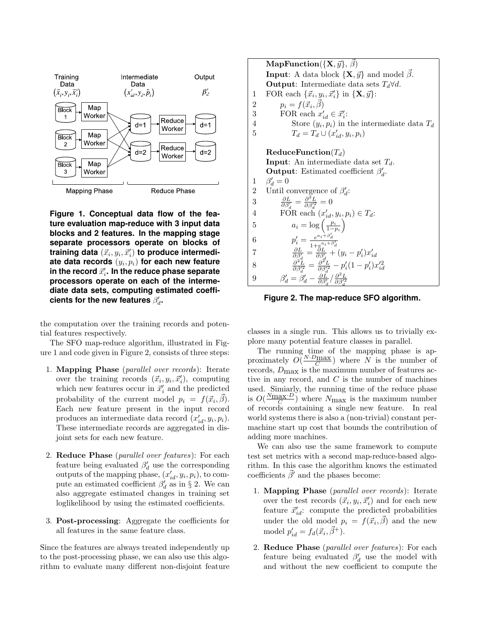

**Figure 1. Conceptual data flow of the feature evaluation map-reduce with 3 input data blocks and 2 features. In the mapping stage separate processors operate on blocks of** training data  $(\vec{x_i}, y_i, \vec{x}'_i)$  to produce intermedi**ate data records** (y<sup>i</sup> , pi) **for each new feature** in the record  $\vec{x}_i'$ . In the reduce phase separate **processors operate on each of the intermediate data sets, computing estimated coeffi**cients for the new features  $\beta_d'$ .

the computation over the training records and potential features respectively.

The SFO map-reduce algorithm, illustrated in Figure 1 and code given in Figure 2, consists of three steps:

- 1. Mapping Phase (parallel over records): Iterate over the training records  $(\vec{x}_i, y_i, \vec{x}'_i)$ , computing which new features occur in  $\vec{x}'_i$  and the predicted probability of the current model  $p_i = f(\vec{x}_i, \vec{\beta}).$ Each new feature present in the input record produces an intermediate data record  $(x'_{id}, y_i, p_i)$ . These intermediate records are aggregated in disjoint sets for each new feature.
- 2. **Reduce Phase** (*parallel over features*): For each feature being evaluated  $\beta_d'$  use the corresponding outputs of the mapping phase,  $(x'_{id}, y_i, p_i)$ , to compute an estimated coefficient  $\beta'_d$  as in § 2. We can also aggregate estimated changes in training set loglikelihood by using the estimated coefficients.
- 3. Post-processing: Aggregate the coefficients for all features in the same feature class.

Since the features are always treated independently up to the post-processing phase, we can also use this algorithm to evaluate many different non-disjoint feature

MapFunction( $\{X, \vec{y}\}, \vec{\beta}$ ) **Input:** A data block  $\{X, \vec{y}\}\$ and model  $\vec{\beta}$ . **Output:** Intermediate data sets  $T_d \forall d$ . 1 FOR each  $\{\vec{x}_i, y_i, \vec{x}'_i\}$  in  $\{\mathbf{X}, \vec{y}\}$ : 2  $p_i = f(\vec{x}_i, \vec{\beta})$ 3 FOR each  $x'_{id} \in \vec{x}'_i$ : 4 Store  $(y_i, p_i)$  in the intermediate data  $T_d$ 5  $T_d = T_d \cup (x'_{id}, y_i, p_i)$  $\textbf{ReduceFunction}(T_d)$ **Input:** An intermediate data set  $T_d$ . **Output:** Estimated coefficient  $\beta'_d$ . 1  $\beta'_d = 0$ 2 Until convergence of  $\beta_d$ :  $\frac{\partial L}{\partial \beta'_d} = \frac{\partial^2 L}{\partial \beta'^2_d} = 0$ 3 4 FOR each  $(x'_{id}, y_i, p_i) \in T_d$ : 5  $a_i = \log\left(\frac{p_i}{1-p_i}\right)$ 6  $p'_i = \frac{e^{a_i + \beta'_d}}{1 + e^{a_i + \beta'_d}}$  $\begin{array}{l} \rho_i = \frac{1}{1+e^{a_i+\beta_d'}}\ \frac{\partial L}{\partial \beta_d'} = \frac{\partial L}{\partial \beta_d'} + (y_i - p_i')x_{id}'. \end{array}$ 7 8  $\frac{\partial^2 \tilde{L}}{\partial \beta_d^{\prime 2}} = \frac{\partial^2 \tilde{L}}{\partial \beta_d^{\prime 2}} - p_i'(1-p_i')x_{id}^{\prime 2}$ 9  $\beta'_d = \overset{\circ}{\beta'_d} - \frac{\partial \overset{r}{L}}{\partial \beta'_d} / \frac{\partial^2 L}{\partial \beta'^2_d}$ 

**Figure 2. The map-reduce SFO algorithm.**

classes in a single run. This allows us to trivially explore many potential feature classes in parallel.

The running time of the mapping phase is approximately  $O(\frac{N \cdot D_{\text{max}}}{C})$  where  $N$  is the number of records,  $D_{\text{max}}$  is the maximum number of features active in any record, and  $C$  is the number of machines used. Simiarly, the running time of the reduce phase is  $O(\frac{N_{\text{max}}\cdot D}{C})$  where  $N_{\text{max}}$  is the maximum number of records containing a single new feature. In real world systems there is also a (non-trivial) constant permachine start up cost that bounds the contribution of adding more machines.

We can also use the same framework to compute test set metrics with a second map-reduce-based algorithm. In this case the algorithm knows the estimated coefficients  $\vec{\beta}'$  and the phases become:

- 1. Mapping Phase (parallel over records): Iterate over the test records  $(\vec{x}_i, y_i, \vec{x}'_i)$  and for each new feature  $\vec{x}'_{id}$ : compute the predicted probabilities under the old model  $p_i = f(\vec{x}_i, \vec{\beta})$  and the new model  $p'_{id} = f_d(\vec{x}_i, \vec{\beta}^+)$ .
- 2. Reduce Phase (parallel over features): For each feature being evaluated  $\beta'_d$  use the model with and without the new coefficient to compute the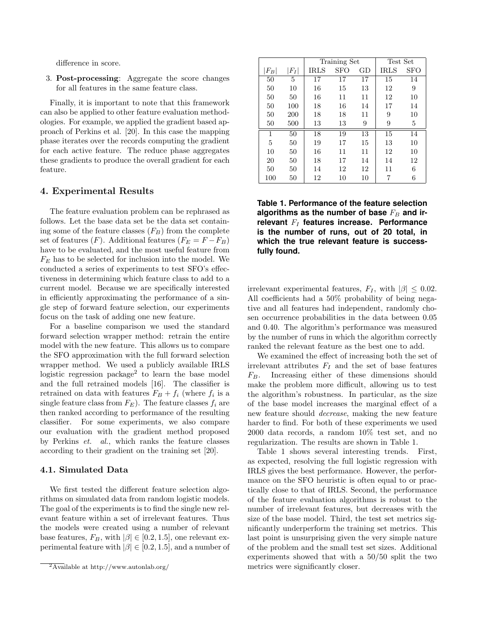difference in score.

3. Post-processing: Aggregate the score changes for all features in the same feature class.

Finally, it is important to note that this framework can also be applied to other feature evaluation methodologies. For example, we applied the gradient based approach of Perkins et al. [20]. In this case the mapping phase iterates over the records computing the gradient for each active feature. The reduce phase aggregates these gradients to produce the overall gradient for each feature.

# 4. Experimental Results

The feature evaluation problem can be rephrased as follows. Let the base data set be the data set containing some of the feature classes  $(F_B)$  from the complete set of features  $(F)$ . Additional features  $(F_E = F - F_B)$ have to be evaluated, and the most useful feature from  $F_E$  has to be selected for inclusion into the model. We conducted a series of experiments to test SFO's effectiveness in determining which feature class to add to a current model. Because we are specifically interested in efficiently approximating the performance of a single step of forward feature selection, our experiments focus on the task of adding one new feature.

For a baseline comparison we used the standard forward selection wrapper method: retrain the entire model with the new feature. This allows us to compare the SFO approximation with the full forward selection wrapper method. We used a publicly available IRLS logistic regression package<sup>2</sup> to learn the base model and the full retrained models [16]. The classifier is retrained on data with features  $F_B + f_i$  (where  $f_i$  is a single feature class from  $F_E$ ). The feature classes  $f_i$  are then ranked according to performance of the resulting classifier. For some experiments, we also compare our evaluation with the gradient method proposed by Perkins et. al., which ranks the feature classes according to their gradient on the training set [20].

### 4.1. Simulated Data

We first tested the different feature selection algorithms on simulated data from random logistic models. The goal of the experiments is to find the single new relevant feature within a set of irrelevant features. Thus the models were created using a number of relevant base features,  $F_B$ , with  $|\beta| \in [0.2, 1.5]$ , one relevant experimental feature with  $|\beta| \in [0.2, 1.5]$ , and a number of

|         |       | Training Set |            |    | Test Set    |     |
|---------|-------|--------------|------------|----|-------------|-----|
| $ F_B $ | $F_I$ | <b>IRLS</b>  | <b>SFO</b> | GD | <b>IRLS</b> | SFO |
| 50      | 5     | 17           | 17         | 17 | 15          | 14  |
| 50      | 10    | 16           | 15         | 13 | 12          | 9   |
| 50      | 50    | 16           | 11         | 11 | 12          | 10  |
| 50      | 100   | 18           | 16         | 14 | 17          | 14  |
| 50      | 200   | 18           | 18         | 11 | 9           | 10  |
| 50      | 500   | 13           | 13         | 9  | 9           | 5   |
| 1       | 50    | 18           | 19         | 13 | 15          | 14  |
| 5       | 50    | 19           | 17         | 15 | 13          | 10  |
| 10      | 50    | 16           | 11         | 11 | 12          | 10  |
| 20      | 50    | 18           | 17         | 14 | 14          | 12  |
| 50      | 50    | 14           | 12         | 12 | 11          | 6   |
| 100     | 50    | 12           | 10         | 10 | 7           | 6   |

**Table 1. Performance of the feature selection** algorithms as the number of base  $F_B$  and irrelevant  $F_I$  features increase. Performance **is the number of runs, out of 20 total, in which the true relevant feature is successfully found.**

irrelevant experimental features,  $F_I$ , with  $|\beta| \leq 0.02$ . All coefficients had a 50% probability of being negative and all features had independent, randomly chosen occurrence probabilities in the data between 0.05 and 0.40. The algorithm's performance was measured by the number of runs in which the algorithm correctly ranked the relevant feature as the best one to add.

We examined the effect of increasing both the set of irrelevant attributes  $F_I$  and the set of base features  $F_B$ . Increasing either of these dimensions should make the problem more difficult, allowing us to test the algorithm's robustness. In particular, as the size of the base model increases the marginal effect of a new feature should decrease, making the new feature harder to find. For both of these experiments we used 2000 data records, a random 10% test set, and no regularization. The results are shown in Table 1.

Table 1 shows several interesting trends. First, as expected, resolving the full logistic regression with IRLS gives the best performance. However, the performance on the SFO heuristic is often equal to or practically close to that of IRLS. Second, the performance of the feature evaluation algorithms is robust to the number of irrelevant features, but decreases with the size of the base model. Third, the test set metrics significantly underperform the training set metrics. This last point is unsurprising given the very simple nature of the problem and the small test set sizes. Additional experiments showed that with a 50/50 split the two metrics were significantly closer.

 $\sqrt[2]{2A}\text{vailable at http://www.autonlab.org/}$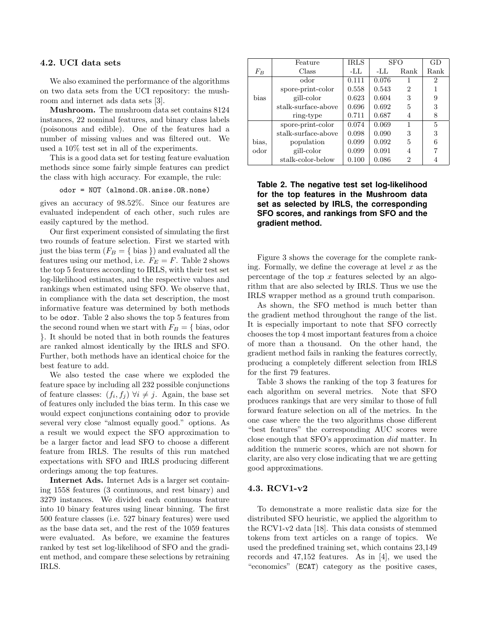#### 4.2. UCI data sets

We also examined the performance of the algorithms on two data sets from the UCI repository: the mushroom and internet ads data sets [3].

Mushroom. The mushroom data set contains 8124 instances, 22 nominal features, and binary class labels (poisonous and edible). One of the features had a number of missing values and was filtered out. We used a 10% test set in all of the experiments.

This is a good data set for testing feature evaluation methods since some fairly simple features can predict the class with high accuracy. For example, the rule:

odor = NOT (almond.OR.anise.OR.none)

gives an accuracy of 98.52%. Since our features are evaluated independent of each other, such rules are easily captured by the method.

Our first experiment consisted of simulating the first two rounds of feature selection. First we started with just the bias term  $(F_B = \{ \text{ bias } \})$  and evaluated all the features using our method, i.e.  $F_E = F$ . Table 2 shows the top 5 features according to IRLS, with their test set log-likelihood estimates, and the respective values and rankings when estimated using SFO. We observe that, in compliance with the data set description, the most informative feature was determined by both methods to be odor. Table 2 also shows the top 5 features from the second round when we start with  $F_B = \{ \text{bias}, \text{odor} \}$ }. It should be noted that in both rounds the features are ranked almost identically by the IRLS and SFO. Further, both methods have an identical choice for the best feature to add.

We also tested the case where we exploded the feature space by including all 232 possible conjunctions of feature classes:  $(f_i, f_j)$   $\forall i \neq j$ . Again, the base set of features only included the bias term. In this case we would expect conjunctions containing odor to provide several very close "almost equally good." options. As a result we would expect the SFO approximation to be a larger factor and lead SFO to choose a different feature from IRLS. The results of this run matched expectations with SFO and IRLS producing different orderings among the top features.

Internet Ads. Internet Ads is a larger set containing 1558 features (3 continuous, and rest binary) and 3279 instances. We divided each continuous feature into 10 binary features using linear binning. The first 500 feature classes (i.e. 527 binary features) were used as the base data set, and the rest of the 1059 features were evaluated. As before, we examine the features ranked by test set log-likelihood of SFO and the gradient method, and compare these selections by retraining IRLS.

|       | Feature             | IRLS  | <b>SFO</b> |      | GD             |
|-------|---------------------|-------|------------|------|----------------|
| $F_B$ | Class               | -LL   | -LL        | Rank | Rank           |
|       | odor                | 0.111 | 0.076      | 1    | $\overline{2}$ |
|       | spore-print-color   | 0.558 | 0.543      | 2    |                |
| bias  | gill-color          | 0.623 | 0.604      | 3    | 9              |
|       | stalk-surface-above | 0.696 | 0.692      | 5    | 3              |
|       | ring-type           | 0.711 | 0.687      | 4    | 8              |
|       | spore-print-color   | 0.074 | 0.069      | 1    | 5              |
|       | stalk-surface-above | 0.098 | 0.090      | 3    | 3              |
| bias, | population          | 0.099 | 0.092      | 5    | 6              |
| odor  | gill-color          | 0.099 | 0.091      | 4    |                |
|       | stalk-color-below   | 0.100 | 0.086      | 2    | $\overline{4}$ |

**Table 2. The negative test set log-likelihood for the top features in the Mushroom data set as selected by IRLS, the corresponding SFO scores, and rankings from SFO and the gradient method.**

Figure 3 shows the coverage for the complete ranking. Formally, we define the coverage at level  $x$  as the percentage of the top  $x$  features selected by an algorithm that are also selected by IRLS. Thus we use the IRLS wrapper method as a ground truth comparison.

As shown, the SFO method is much better than the gradient method throughout the range of the list. It is especially important to note that SFO correctly chooses the top 4 most important features from a choice of more than a thousand. On the other hand, the gradient method fails in ranking the features correctly, producing a completely different selection from IRLS for the first 79 features.

Table 3 shows the ranking of the top 3 features for each algorithm on several metrics. Note that SFO produces rankings that are very similar to those of full forward feature selection on all of the metrics. In the one case where the the two algorithms chose different "best features" the corresponding AUC scores were close enough that SFO's approximation did matter. In addition the numeric scores, which are not shown for clarity, are also very close indicating that we are getting good approximations.

# 4.3. RCV1-v2

To demonstrate a more realistic data size for the distributed SFO heuristic, we applied the algorithm to the RCV1-v2 data [18]. This data consists of stemmed tokens from text articles on a range of topics. We used the predefined training set, which contains 23,149 records and 47,152 features. As in [4], we used the "economics" (ECAT) category as the positive cases,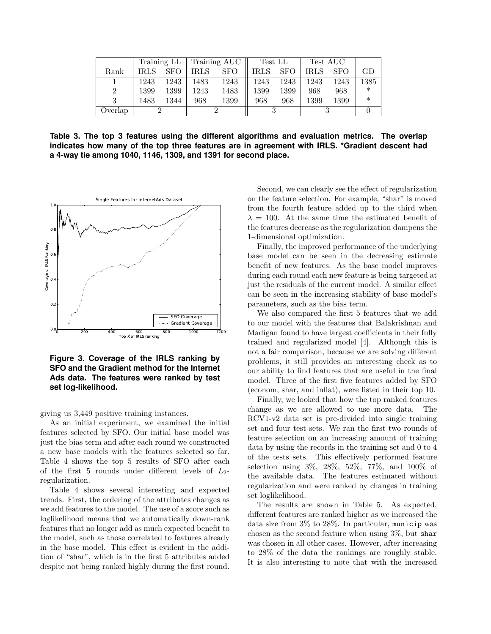|         | Training LL |            | Training AUC |            | Test LL     |            | Test AUC    |            |        |
|---------|-------------|------------|--------------|------------|-------------|------------|-------------|------------|--------|
| Rank    | <b>IRLS</b> | <b>SFO</b> | <b>IRLS</b>  | <b>SFO</b> | <b>IRLS</b> | <b>SFO</b> | <b>IRLS</b> | <b>SFO</b> | GD     |
|         | 1243        | 1243       | 1483         | 1243       | 1243        | 1243       | 1243        | 1243       | 1385   |
|         | 1399        | 1399       | 1243         | 1483       | 1399        | 1399       | 968         | 968        | $\ast$ |
|         | 1483        | 1344       | 968          | 1399       | 968         | 968        | 1399        | 1399       | $\ast$ |
| Overlap |             |            |              |            |             |            |             |            |        |

**Table 3. The top 3 features using the different algorithms and evaluation metrics. The overlap indicates how many of the top three features are in agreement with IRLS. \*Gradient descent had a 4-way tie among 1040, 1146, 1309, and 1391 for second place.**



**Figure 3. Coverage of the IRLS ranking by SFO and the Gradient method for the Internet Ads data. The features were ranked by test set log-likelihood.**

giving us 3,449 positive training instances.

As an initial experiment, we examined the initial features selected by SFO. Our initial base model was just the bias term and after each round we constructed a new base models with the features selected so far. Table 4 shows the top 5 results of SFO after each of the first 5 rounds under different levels of  $L_2$ regularization.

Table 4 shows several interesting and expected trends. First, the ordering of the attributes changes as we add features to the model. The use of a score such as loglikelihood means that we automatically down-rank features that no longer add as much expected benefit to the model, such as those correlated to features already in the base model. This effect is evident in the addition of "shar", which is in the first 5 attributes added despite not being ranked highly during the first round.

Second, we can clearly see the effect of regularization on the feature selection. For example, "shar" is moved from the fourth feature added up to the third when  $\lambda = 100$ . At the same time the estimated benefit of the features decrease as the regularization dampens the 1-dimensional optimization.

Finally, the improved performance of the underlying base model can be seen in the decreasing estimate benefit of new features. As the base model improves during each round each new feature is being targeted at just the residuals of the current model. A similar effect can be seen in the increasing stability of base model's parameters, such as the bias term.

We also compared the first 5 features that we add to our model with the features that Balakrishnan and Madigan found to have largest coefficients in their fully trained and regularized model [4]. Although this is not a fair comparison, because we are solving different problems, it still provides an interesting check as to our ability to find features that are useful in the final model. Three of the first five features added by SFO (econom, shar, and inflat), were listed in their top 10.

Finally, we looked that how the top ranked features change as we are allowed to use more data. The RCV1-v2 data set is pre-divided into single training set and four test sets. We ran the first two rounds of feature selection on an increasing amount of training data by using the records in the training set and 0 to 4 of the tests sets. This effectively performed feature selection using 3%, 28%, 52%, 77%, and 100% of the available data. The features estimated without regularization and were ranked by changes in training set loglikelihood.

The results are shown in Table 5. As expected, different features are ranked higher as we increased the data size from 3% to 28%. In particular, municip was chosen as the second feature when using  $3\%$ , but share was chosen in all other cases. However, after increasing to 28% of the data the rankings are roughly stable. It is also interesting to note that with the increased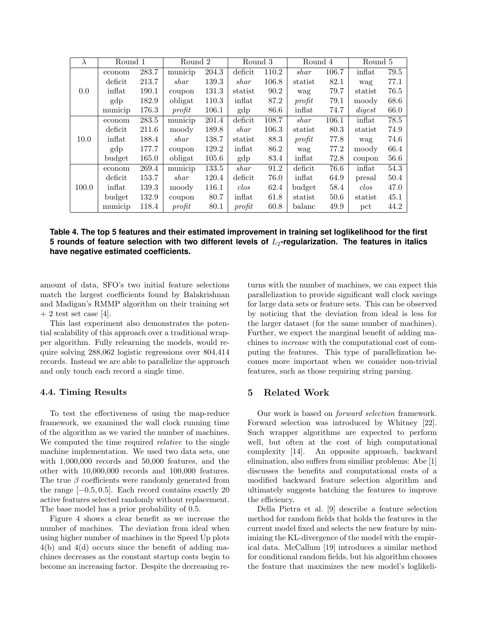| $\lambda$ | Round 1 |       | Round $\overline{2}$        |       | Round 3           |       | Round 4 |       | Round 5           |      |
|-----------|---------|-------|-----------------------------|-------|-------------------|-------|---------|-------|-------------------|------|
| 0.0       | econom  | 283.7 | municip                     | 204.3 | deficit           | 110.2 | shar    | 106.7 | inflat            | 79.5 |
|           | deficit | 213.7 | shar                        | 139.3 | shar              | 106.8 | statist | 82.1  | wag               | 77.1 |
|           | inflat  | 190.1 | coupon                      | 131.3 | statist           | 90.2  | wag     | 79.7  | statist           | 76.5 |
|           | gdp     | 182.9 | obligat                     | 110.3 | inflat            | 87.2  | profit  | 79.1  | moody             | 68.6 |
|           | municip | 176.3 | profit                      | 106.1 | gdp               | 86.6  | inflat  | 74.7  | $\mathit{digest}$ | 66.0 |
|           | econom  | 283.5 | municip                     | 201.4 | deficit           | 108.7 | shar    | 106.1 | inflat            | 78.5 |
|           | deficit | 211.6 | moody                       | 189.8 | shar              | 106.3 | statist | 80.3  | statist           | 74.9 |
| 10.0      | inflat  | 188.4 | shar                        | 138.7 | statist           | 88.3  | profit  | 77.8  | wag               | 74.6 |
|           | gdp     | 177.7 | coupon                      | 129.2 | inflat            | 86.2  | wag     | 77.2  | moody             | 66.4 |
|           | budget  | 165.0 | obligat                     | 105.6 | gdp               | 83.4  | inflat  | 72.8  | coupon            | 56.6 |
|           | econom  | 269.4 | $\overline{\text{municip}}$ | 133.5 | shar              | 91.2  | deficit | 76.6  | inflat            | 54.3 |
| 100.0     | deficit | 153.7 | shar                        | 120.4 | deficit           | 76.0  | inflat  | 64.9  | presal            | 50.4 |
|           | inflat  | 139.3 | moody                       | 116.1 | $\mathcal{c}$ los | 62.4  | budget  | 58.4  | $\mathcal{c}$ los | 47.0 |
|           | budget  | 132.9 | coupon                      | 80.7  | inflat            | 61.8  | statist | 50.6  | statist           | 45.1 |
|           | municip | 118.4 | profit                      | 80.1  | profit            | 60.8  | balanc  | 49.9  | pct               | 44.2 |

**Table 4. The top 5 features and their estimated improvement in training set loglikelihood for the first** 5 rounds of feature selection with two different levels of  $L_2$ -regularization. The features in italics **have negative estimated coefficients.**

amount of data, SFO's two initial feature selections match the largest coefficients found by Balakrishnan and Madigan's RMMP algorithm on their training set  $+ 2$  test set case [4].

This last experiment also demonstrates the potential scalability of this approach over a traditional wrapper algorithm. Fully relearning the models, would require solving 288,062 logistic regressions over 804,414 records. Instead we are able to parallelize the approach and only touch each record a single time.

### 4.4. Timing Results

To test the effectiveness of using the map-reduce framework, we examined the wall clock running time of the algorithm as we varied the number of machines. We computed the time required relative to the single machine implementation. We used two data sets, one with 1,000,000 records and 50,000 features, and the other with 10,000,000 records and 100,000 features. The true  $\beta$  coefficients were randomly generated from the range  $[-0.5, 0.5]$ . Each record contains exactly 20 active features selected randomly without replacement. The base model has a prior probability of 0.5.

Figure 4 shows a clear benefit as we increase the number of machines. The deviation from ideal when using higher number of machines in the Speed Up plots 4(b) and 4(d) occurs since the benefit of adding machines decreases as the constant startup costs begin to become an increasing factor. Despite the decreasing returns with the number of machines, we can expect this parallelization to provide significant wall clock savings for large data sets or feature sets. This can be observed by noticing that the deviation from ideal is less for the larger dataset (for the same number of machines). Further, we expect the marginal benefit of adding machines to increase with the computational cost of computing the features. This type of parallelization becomes more important when we consider non-trivial features, such as those requiring string parsing.

# 5 Related Work

Our work is based on forward selection framework. Forward selection was introduced by Whitney [22]. Such wrapper algorithms are expected to perform well, but often at the cost of high computational complexity [14]. An opposite approach, backward elimination, also suffers from similiar problems: Abe [1] discusses the benefits and computational costs of a modified backward feature selection algorithm and ultimately suggests batching the features to improve the efficiency.

Della Pietra et al. [9] describe a feature selection method for random fields that holds the features in the current model fixed and selects the new feature by minimizing the KL-divergence of the model with the empirical data. McCallum [19] introduces a similar method for conditional random fields, but his algorithm chooses the feature that maximizes the new model's loglikeli-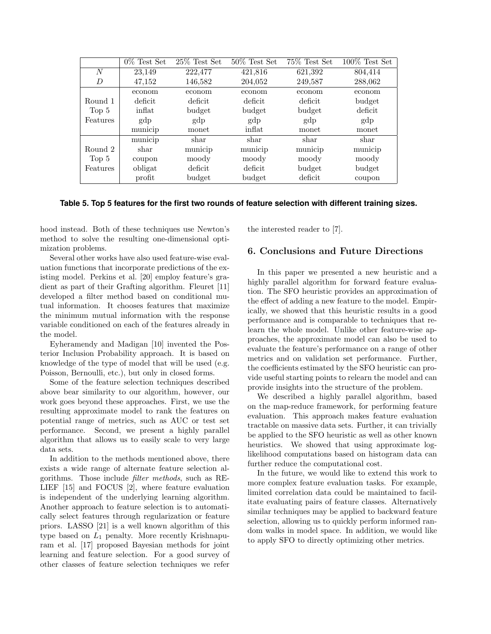|                  | $0\%$ Test Set | $25\%$ Test Set | $50\%$ Test Set | 75% Test Set | $100\%$ Test Set |
|------------------|----------------|-----------------|-----------------|--------------|------------------|
| $\overline{N}$   | 23,149         | 222,477         | 421,816         | 621,392      | 804,414          |
| D                | 47,152         | 146,582         | 204,052         | 249,587      | 288,062          |
|                  | econom         | econom          | econom          | econom       | econom           |
| Round 1          | deficit        | deficit         | deficit         | deficit      | budget           |
| Top <sub>5</sub> | inflat         | budget          | budget          | budget       | deficit          |
| Features         | gdp            | gdp             | gdp             | gdp          | gdp              |
|                  | municip        | monet           | inflat          | monet        | monet            |
|                  | municip        | shar            | shar            | shar         | shar             |
| Round 2          | shar           | municip         | municip         | municip      | municip          |
| Top 5            | coupon         | moody           | moody           | moody        | moody            |
| Features         | obligat        | deficit         | deficit         | budget       | budget           |
|                  | profit         | budget          | budget          | deficit      | coupon           |

### **Table 5. Top 5 features for the first two rounds of feature selection with different training sizes.**

hood instead. Both of these techniques use Newton's method to solve the resulting one-dimensional optimization problems.

Several other works have also used feature-wise evaluation functions that incorporate predictions of the existing model. Perkins et al. [20] employ feature's gradient as part of their Grafting algorithm. Fleuret [11] developed a filter method based on conditional mutual information. It chooses features that maximize the minimum mutual information with the response variable conditioned on each of the features already in the model.

Eyheramendy and Madigan [10] invented the Posterior Inclusion Probability approach. It is based on knowledge of the type of model that will be used (e.g. Poisson, Bernoulli, etc.), but only in closed forms.

Some of the feature selection techniques described above bear similarity to our algorithm, however, our work goes beyond these approaches. First, we use the resulting approximate model to rank the features on potential range of metrics, such as AUC or test set performance. Second, we present a highly parallel algorithm that allows us to easily scale to very large data sets.

In addition to the methods mentioned above, there exists a wide range of alternate feature selection algorithms. Those include filter methods, such as RE-LIEF [15] and FOCUS [2], where feature evaluation is independent of the underlying learning algorithm. Another approach to feature selection is to automatically select features through regularization or feature priors. LASSO [21] is a well known algorithm of this type based on  $L_1$  penalty. More recently Krishnapuram et al. [17] proposed Bayesian methods for joint learning and feature selection. For a good survey of other classes of feature selection techniques we refer

the interested reader to [7].

### 6. Conclusions and Future Directions

In this paper we presented a new heuristic and a highly parallel algorithm for forward feature evaluation. The SFO heuristic provides an approximation of the effect of adding a new feature to the model. Empirically, we showed that this heuristic results in a good performance and is comparable to techniques that relearn the whole model. Unlike other feature-wise approaches, the approximate model can also be used to evaluate the feature's performance on a range of other metrics and on validation set performance. Further, the coefficients estimated by the SFO heuristic can provide useful starting points to relearn the model and can provide insights into the structure of the problem.

We described a highly parallel algorithm, based on the map-reduce framework, for performing feature evaluation. This approach makes feature evaluation tractable on massive data sets. Further, it can trivially be applied to the SFO heuristic as well as other known heuristics. We showed that using approximate loglikelihood computations based on histogram data can further reduce the computational cost.

In the future, we would like to extend this work to more complex feature evaluation tasks. For example, limited correlation data could be maintained to facilitate evaluating pairs of feature classes. Alternatively similar techniques may be applied to backward feature selection, allowing us to quickly perform informed random walks in model space. In addition, we would like to apply SFO to directly optimizing other metrics.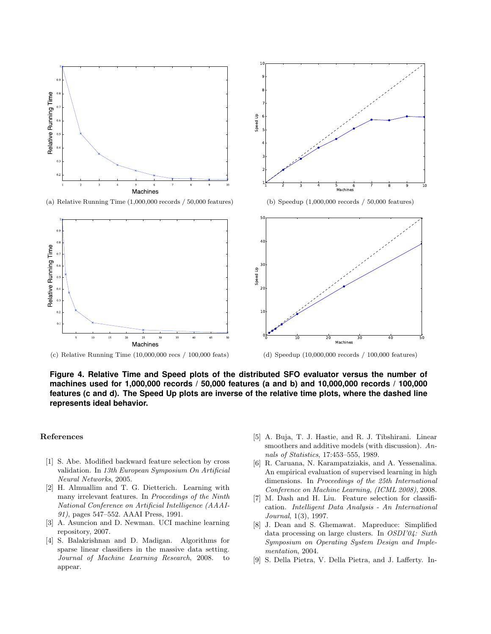

(a) Relative Running Time (1,000,000 records / 50,000 features)



 $1^{\prime}$ 가 카. 4 F 카. 6 F 가. 8ŀ 9  $10<sub>1</sub>$ 

Speed Up

**Figure 4. Relative Time and Speed plots of the distributed SFO evaluator versus the number of machines used for 1,000,000 records / 50,000 features (a and b) and 10,000,000 records / 100,000 features (c and d). The Speed Up plots are inverse of the relative time plots, where the dashed line represents ideal behavior.**

#### References

- [1] S. Abe. Modified backward feature selection by cross validation. In 13th European Symposium On Artificial Neural Networks, 2005.
- [2] H. Almuallim and T. G. Dietterich. Learning with many irrelevant features. In Proceedings of the Ninth National Conference on Artificial Intelligence (AAAI-91), pages 547–552. AAAI Press, 1991.
- [3] A. Asuncion and D. Newman. UCI machine learning repository, 2007.
- [4] S. Balakrishnan and D. Madigan. Algorithms for sparse linear classifiers in the massive data setting. Journal of Machine Learning Research, 2008. to appear.

[5] A. Buja, T. J. Hastie, and R. J. Tibshirani. Linear smoothers and additive models (with discussion). Annals of Statistics, 17:453–555, 1989.

1 2 3 4 5 6 7 8 9 10 Machines

- [6] R. Caruana, N. Karampatziakis, and A. Yessenalina. An empirical evaluation of supervised learning in high dimensions. In Proceedings of the 25th International Conference on Machine Learning, (ICML 2008), 2008.
- [7] M. Dash and H. Liu. Feature selection for classification. Intelligent Data Analysis - An International Journal, 1(3), 1997.
- [8] J. Dean and S. Ghemawat. Mapreduce: Simplified data processing on large clusters. In OSDI'04: Sixth Symposium on Operating System Design and Implementation, 2004.
- [9] S. Della Pietra, V. Della Pietra, and J. Lafferty. In-